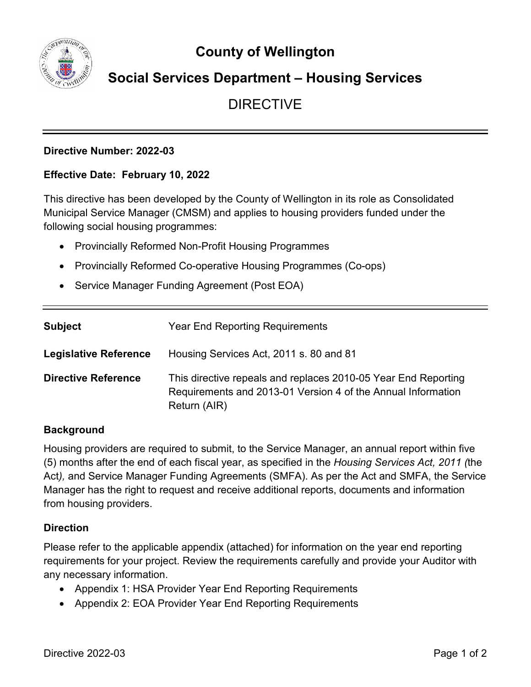**County of Wellington**



## **Social Services Department – Housing Services**

## DIRECTIVE

### **Directive Number: 2022-03**

### **Effective Date: February 10, 2022**

This directive has been developed by the County of Wellington in its role as Consolidated Municipal Service Manager (CMSM) and applies to housing providers funded under the following social housing programmes:

- Provincially Reformed Non-Profit Housing Programmes
- Provincially Reformed Co-operative Housing Programmes (Co-ops)
- Service Manager Funding Agreement (Post EOA)

| <b>Subject</b>               | <b>Year End Reporting Requirements</b>                                                                                                         |
|------------------------------|------------------------------------------------------------------------------------------------------------------------------------------------|
| <b>Legislative Reference</b> | Housing Services Act, 2011 s. 80 and 81                                                                                                        |
| <b>Directive Reference</b>   | This directive repeals and replaces 2010-05 Year End Reporting<br>Requirements and 2013-01 Version 4 of the Annual Information<br>Return (AIR) |

#### **Background**

Housing providers are required to submit, to the Service Manager, an annual report within five (5) months after the end of each fiscal year, as specified in the *Housing Services Act, 2011 (*the Act*),* and Service Manager Funding Agreements (SMFA). As per the Act and SMFA, the Service Manager has the right to request and receive additional reports, documents and information from housing providers.

#### **Direction**

Please refer to the applicable appendix (attached) for information on the year end reporting requirements for your project. Review the requirements carefully and provide your Auditor with any necessary information.

- Appendix 1: HSA Provider Year End Reporting Requirements
- Appendix 2: EOA Provider Year End Reporting Requirements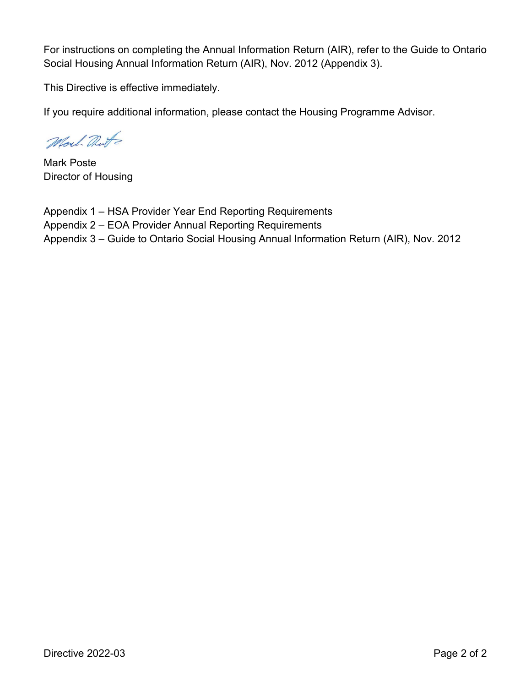For instructions on completing the Annual Information Return (AIR), refer to the Guide to Ontario Social Housing Annual Information Return (AIR), Nov. 2012 (Appendix 3).

This Directive is effective immediately.

If you require additional information, please contact the Housing Programme Advisor.

Moul Dute

Mark Poste Director of Housing

Appendix 1 – HSA Provider Year End Reporting Requirements Appendix 2 – EOA Provider Annual Reporting Requirements Appendix 3 – Guide to Ontario Social Housing Annual Information Return (AIR), Nov. 2012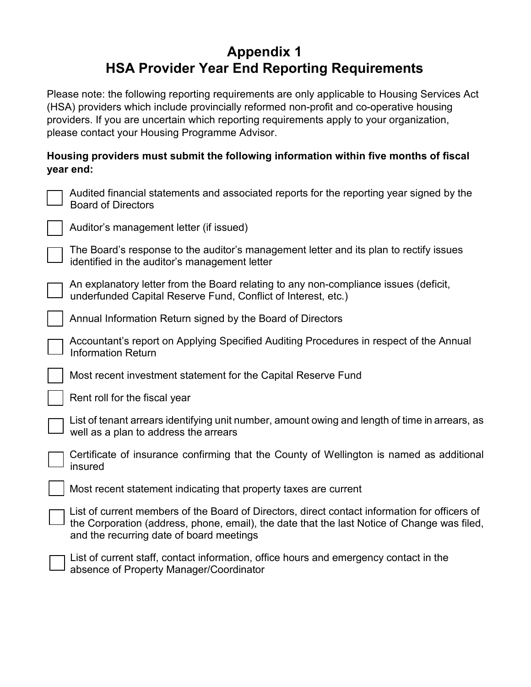# **Appendix 1 HSA Provider Year End Reporting Requirements**

Please note: the following reporting requirements are only applicable to Housing Services Act (HSA) providers which include provincially reformed non-profit and co-operative housing providers. If you are uncertain which reporting requirements apply to your organization, please contact your Housing Programme Advisor.

## **Housing providers must submit the following information within five months of fiscal year end:**

| Audited financial statements and associated reports for the reporting year signed by the<br>Board of Directors                                 |
|------------------------------------------------------------------------------------------------------------------------------------------------|
| $\vert$ $\vert$ Auditor's management letter (if issued)                                                                                        |
| The Board's response to the auditor's management letter and its plan to rectify issues<br>$\Box$ identified in the auditor's management letter |

An explanatory letter from the Board relating to any non-compliance issues (deficit,  $\Box$  underfunded Capital Reserve Fund, Conflict of Interest, etc.)

Annual Information Return signed by the Board of Directors

Accountant's report on Applying Specified Auditing Procedures in respect of the Annual Information Return

Most recent investment statement for the Capital Reserve Fund

Rent roll for the fiscal year

List of tenant arrears identifying unit number, amount owing and length of time in arrears, as well as a plan to address the arrears

Certificate of insurance confirming that the County of Wellington is named as additional insured

Most recent statement indicating that property taxes are current

List of current members of the Board of Directors, direct contact information for officers of the Corporation (address, phone, email), the date that the last Notice of Change was filed, and the recurring date of board meetings

List of current staff, contact information, office hours and emergency contact in the absence of Property Manager/Coordinator